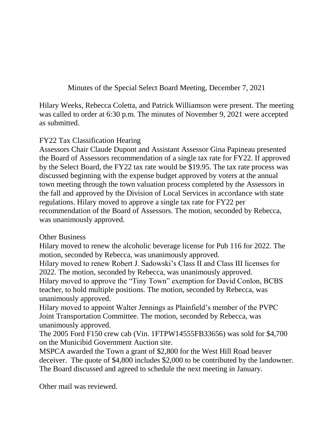Minutes of the Special Select Board Meeting, December 7, 2021

Hilary Weeks, Rebecca Coletta, and Patrick Williamson were present. The meeting was called to order at 6:30 p.m. The minutes of November 9, 2021 were accepted as submitted.

## FY22 Tax Classification Hearing

Assessors Chair Claude Dupont and Assistant Assessor Gina Papineau presented the Board of Assessors recommendation of a single tax rate for FY22. If approved by the Select Board, the FY22 tax rate would be \$19.95. The tax rate process was discussed beginning with the expense budget approved by voters at the annual town meeting through the town valuation process completed by the Assessors in the fall and approved by the Division of Local Services in accordance with state regulations. Hilary moved to approve a single tax rate for FY22 per recommendation of the Board of Assessors. The motion, seconded by Rebecca, was unanimously approved.

## Other Business

Hilary moved to renew the alcoholic beverage license for Pub 116 for 2022. The motion, seconded by Rebecca, was unanimously approved.

Hilary moved to renew Robert J. Sadowski's Class II and Class III licenses for 2022. The motion, seconded by Rebecca, was unanimously approved.

Hilary moved to approve the "Tiny Town" exemption for David Conlon, BCBS teacher, to hold multiple positions. The motion, seconded by Rebecca, was unanimously approved.

Hilary moved to appoint Walter Jennings as Plainfield's member of the PVPC Joint Transportation Committee. The motion, seconded by Rebecca, was unanimously approved.

The 2005 Ford F150 crew cab (Vin. 1FTPW14555FB33656) was sold for \$4,700 on the Municibid Government Auction site.

MSPCA awarded the Town a grant of \$2,800 for the West Hill Road beaver deceiver. The quote of \$4,800 includes \$2,000 to be contributed by the landowner. The Board discussed and agreed to schedule the next meeting in January.

Other mail was reviewed.